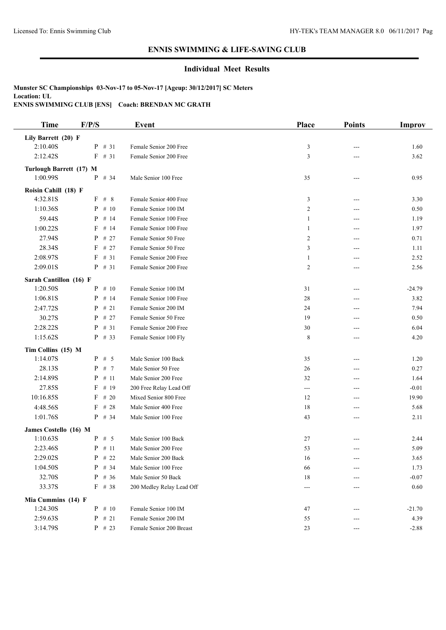### **Individual Meet Results**

| <b>Time</b>             | F/P/S                | <b>Event</b>              | Place          | <b>Points</b> | Improv   |
|-------------------------|----------------------|---------------------------|----------------|---------------|----------|
| Lily Barrett (20) F     |                      |                           |                |               |          |
| 2:10.40S                | $P$ # 31             | Female Senior 200 Free    | 3              | ---           | 1.60     |
| 2:12.42S                | $F$ # 31             | Female Senior 200 Free    | 3              | ---           | 3.62     |
| Turlough Barrett (17) M |                      |                           |                |               |          |
| 1:00.99S                | $P$ # 34             | Male Senior 100 Free      | 35             | ---           | 0.95     |
| Roisin Cahill (18) F    |                      |                           |                |               |          |
| 4:32.81S                | F # 8                | Female Senior 400 Free    | 3              | ---           | 3.30     |
| 1:10.36S                | $P$ # 10             | Female Senior 100 IM      | $\overline{c}$ | ---           | 0.50     |
| 59.44S                  | $P$ # 14             | Female Senior 100 Free    | 1              | ---           | 1.19     |
| 1:00.22S                | F<br># 14            | Female Senior 100 Free    | 1              | ---           | 1.97     |
| 27.94S                  | $P$ # 27             | Female Senior 50 Free     | 2              | ---           | 0.71     |
| 28.34S                  | F<br># 27            | Female Senior 50 Free     | 3              | $---$         | 1.11     |
| 2:08.97S                | F<br># 31            | Female Senior 200 Free    | 1              | ---           | 2.52     |
| 2:09.01S                | $P$ # 31             | Female Senior 200 Free    | 2              | ---           | 2.56     |
| Sarah Cantillon (16) F  |                      |                           |                |               |          |
| 1:20.50S                | $P$ # 10             | Female Senior 100 IM      | 31             | ---           | $-24.79$ |
| 1:06.81S                | # 14<br>$\mathbf{P}$ | Female Senior 100 Free    | 28             | ---           | 3.82     |
| 2:47.72S                | $P$ # 21             | Female Senior 200 IM      | 24             | ---           | 7.94     |
| 30.27S                  | $P$ # 27             | Female Senior 50 Free     | 19             | ---           | 0.50     |
| 2:28.22S                | $P$ # 31             | Female Senior 200 Free    | $30\,$         | $---$         | 6.04     |
| 1:15.62S                | $P$ # 33             | Female Senior 100 Fly     | 8              | ---           | 4.20     |
| Tim Collins (15) M      |                      |                           |                |               |          |
| 1:14.07S                | $P$ # 5              | Male Senior 100 Back      | 35             | ---           | 1.20     |
| 28.13S                  | $P$ # 7              | Male Senior 50 Free       | 26             | ---           | 0.27     |
| 2:14.89S                | $P$ # 11             | Male Senior 200 Free      | 32             | ---           | 1.64     |
| 27.85S                  | # 19<br>F            | 200 Free Relay Lead Off   | ---            | ---           | $-0.01$  |
| 10:16.85S               | $F$ # 20             | Mixed Senior 800 Free     | 12             | ---           | 19.90    |
| 4:48.56S                | $F$ # 28             | Male Senior 400 Free      | 18             | ---           | 5.68     |
| 1:01.76S                | $P$ # 34             | Male Senior 100 Free      | 43             | ---           | 2.11     |
| James Costello (16) M   |                      |                           |                |               |          |
| 1:10.63S                | $P$ # 5              | Male Senior 100 Back      | 27             |               | 2.44     |
| 2:23.46S                | $P$ # 11             | Male Senior 200 Free      | 53             | ---           | 5.09     |
| 2:29.02S                | $P$ # 22             | Male Senior 200 Back      | 16             |               | 3.65     |
| 1:04.50S                | $P$ # 34             | Male Senior 100 Free      | 66             |               | 1.73     |
| 32.70S                  | $P$ # 36             | Male Senior 50 Back       | 18             |               | $-0.07$  |
| 33.37S                  | $F$ # 38             | 200 Medley Relay Lead Off | ---            |               | 0.60     |
| Mia Cummins (14) F      |                      |                           |                |               |          |
| 1:24.30S                | $P$ # 10             | Female Senior 100 IM      | 47             |               | $-21.70$ |
| 2:59.63S                | $P$ # 21             | Female Senior 200 IM      | 55             | ---           | 4.39     |
| 3:14.79S                | $P$ # 23             | Female Senior 200 Breast  | 23             | ---           | $-2.88$  |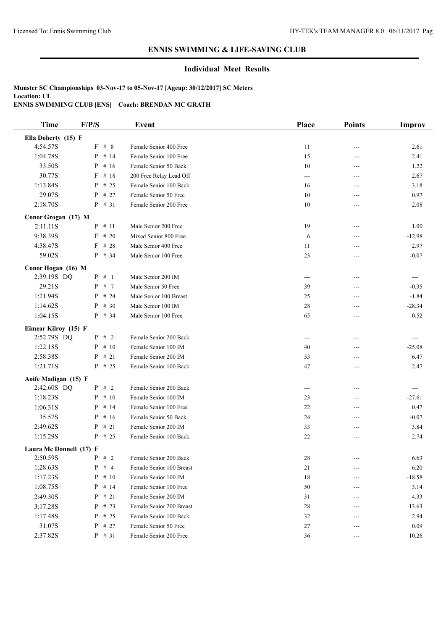### **Individual Meet Results**

| <b>Time</b>                         | F/P/S                | <b>Event</b>             | Place       | <b>Points</b> | Improv   |
|-------------------------------------|----------------------|--------------------------|-------------|---------------|----------|
| Ella Doherty (15) F                 |                      |                          |             |               |          |
| 4:54.57S                            | F # 8                | Female Senior 400 Free   | 11          | ---           | 2.61     |
| 1:04.78S                            | $\mathbf{P}$<br># 14 | Female Senior 100 Free   | 15          | ---           | 2.41     |
| 33.50S                              | $P$ # 16             | Female Senior 50 Back    | 10          | ---           | 1.22     |
| 30.77S                              | $F$ # 18             | 200 Free Relay Lead Off  | ---         | ---           | 2.67     |
| 1:13.84S                            | $P$ # 25             | Female Senior 100 Back   | 16          | ---           | 3.18     |
| 29.07S                              | $P$ # 27             | Female Senior 50 Free    | 10          |               | 0.97     |
| 2:18.70S                            | $P$ # 31             | Female Senior 200 Free   | 10          | ---           | 2.08     |
| Conor Grogan (17) M                 |                      |                          |             |               |          |
| 2:11.11S                            | $P$ # 11             | Male Senior 200 Free     | 19          | ---           | 1.00     |
| 9:38.39S                            | $F$ # 20             | Mixed Senior 800 Free    | 6           | ---           | $-12.98$ |
| 4:38.47S                            | $F$ # 28             | Male Senior 400 Free     | 11          | ---           | 2.97     |
| 59.02S                              | $P$ # 34             | Male Senior 100 Free     | 23          | $---$         | $-0.07$  |
| Conor Hogan (16) M                  |                      |                          |             |               |          |
| 2:39.19S DQ                         | $P$ # 1              | Male Senior 200 IM       | $---$       | ---           | ---      |
| 29.21S                              | $P$ # 7              | Male Senior 50 Free      | 39          | ---           | $-0.35$  |
| 1:21.94S                            | $P$ # 24             | Male Senior 100 Breast   | 25          |               | $-1.84$  |
| 1:14.62S                            | $P$ # 30             | Male Senior 100 IM       | 28          | ---           | $-28.34$ |
| 1:04.15S                            | $P$ # 34             | Male Senior 100 Free     | 65          | ---           | 0.52     |
|                                     |                      |                          |             |               |          |
| Eimear Kilroy (15) F<br>2:52.79S DQ | $P$ # 2              | Female Senior 200 Back   |             | ---           | ---      |
| 1:22.18S                            | $P$ # 10             | Female Senior 100 IM     | $---$<br>40 | ---           | $-25.08$ |
| 2:58.38S                            | $P$ # 21             | Female Senior 200 IM     | 53          |               | 6.47     |
| 1:21.71S                            | $P$ # 25             | Female Senior 100 Back   | 47          | ---<br>---    | 2.47     |
|                                     |                      |                          |             |               |          |
| Aoife Madigan (15) F                |                      |                          |             |               |          |
| 2:42.60S DQ                         | $P$ # 2              | Female Senior 200 Back   | ---         | ---           | ---      |
| 1:18.23S                            | $P$ # 10             | Female Senior 100 IM     | 23          | ---           | $-27.61$ |
| 1:06.31S                            | $P$ # 14             | Female Senior 100 Free   | 22          | ---           | 0.47     |
| 35.57S                              | $P$ # 16             | Female Senior 50 Back    | 24          | ---           | $-0.07$  |
| 2:49.62S                            | $P$ # 21             | Female Senior 200 IM     | 33          | ---           | 3.84     |
| 1:15.29S                            | $P$ # 25             | Female Senior 100 Back   | 22          | ---           | 2.74     |
| Laura Mc Donnell (17) F             |                      |                          |             |               |          |
| 2:50.59S                            | $P \# 2$             | Female Senior 200 Back   | 28          | ---           | 6.63     |
| 1:28.63S                            | $P$ # 4              | Female Senior 100 Breast | 21          | ---           | 6.20     |
| 1:17.23S                            | $P$ # 10             | Female Senior 100 IM     | 18          | ---           | $-18.58$ |
| 1:08.75S                            | $P$ # 14             | Female Senior 100 Free   | 50          |               | 3.14     |
| 2:49.30S                            | $P$ # 21             | Female Senior 200 IM     | 31          | ---           | 4.33     |
| 3:17.28S                            | $P$ # 23             | Female Senior 200 Breast | 28          | ---           | 13.63    |
| 1:17.48S                            | $P$ # 25             | Female Senior 100 Back   | 32          |               | 2.94     |
| 31.07S                              | $P$ # 27             | Female Senior 50 Free    | 27          | ---           | 0.09     |
| 2:37.82S                            | $P$ # 31             | Female Senior 200 Free   | 56          | ---           | 10.26    |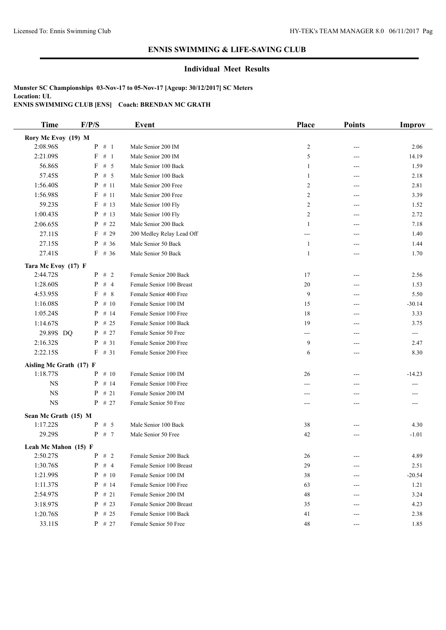### **Individual Meet Results**

| Rory Mc Evoy (19) M<br>$P$ # 1<br>2:08.96S<br>Male Senior 200 IM<br>$\overline{c}$<br>2.06<br>---<br># 1<br>2:21.09S<br>F<br>5<br>Male Senior 200 IM<br>14.19<br>---<br>56.86S<br># 5<br>F<br>Male Senior 100 Back<br>1.59<br>1<br>---<br>57.45S<br>$P$ # 5<br>Male Senior 100 Back<br>2.18<br>1<br>---<br>1:56.40S<br>$P$ # 11<br>Male Senior 200 Free<br>2<br>2.81<br>---<br>1:56.98S<br># 11<br>F<br>Male Senior 200 Free<br>2<br>3.39<br>---<br>59.23S<br># 13<br>F<br>Male Senior 100 Fly<br>2<br>1.52<br>---<br>1:00.43S<br># 13<br>P<br>Male Senior 100 Fly<br>2<br>2.72<br>---<br>2:06.65S<br>$P$ # 22<br>Male Senior 200 Back<br>7.18<br>1<br>---<br>27.11S<br>$F$ # 29<br>200 Medley Relay Lead Off<br>1.40<br>$---$<br>---<br>27.15S<br>$P$ # 36<br>Male Senior 50 Back<br>1<br>1.44<br>---<br>27.41S<br>$F$ # 36<br>Male Senior 50 Back<br>1<br>1.70<br>---<br>Tara Mc Evoy (17) F<br>2:44.72S<br>$P$ # 2<br>Female Senior 200 Back<br>17<br>2.56<br>---<br>1:28.60S<br>$P$ # 4<br>Female Senior 100 Breast<br>20<br>1.53<br>---<br>4:53.95S<br>F<br>#8<br>9<br>Female Senior 400 Free<br>5.50<br>---<br>1:16.08S<br># 10<br>Female Senior 100 IM<br>P<br>15<br>$-30.14$<br>---<br>1:05.24S<br># 14<br>P<br>Female Senior 100 Free<br>18<br>3.33<br>---<br>1:14.67S<br>$P$ # 25<br>Female Senior 100 Back<br>19<br>3.75<br>---<br>29.89S DQ<br>$P$ # 27<br>Female Senior 50 Free<br>$\qquad \qquad -\qquad$<br>---<br>---<br>2:16.32S<br>9<br>$P$ # 31<br>Female Senior 200 Free<br>2.47<br>---<br>$F$ # 31<br>2:22.15S<br>Female Senior 200 Free<br>6<br>8.30<br>---<br>Aisling Mc Grath (17) F<br>1:18.77S<br>$P$ # 10<br>Female Senior 100 IM<br>26<br>$-14.23$<br>---<br>$_{\rm NS}$<br>$P$ # 14<br>Female Senior 100 Free<br>---<br>---<br>---<br>$_{\rm NS}$<br>P<br>#21<br>Female Senior 200 IM<br>---<br>---<br><b>NS</b><br>$P$ # 27<br>Female Senior 50 Free<br>$---$<br>---<br>Sean Mc Grath (15) M<br>$P$ # 5<br>1:17.22S<br>Male Senior 100 Back<br>38<br>4.30<br>29.29S<br>$P$ # 7<br>Male Senior 50 Free<br>42<br>$-1.01$<br>---<br>Leah Mc Mahon (15) F<br>2:50.27S<br>$P$ # 2<br>4.89<br>Female Senior 200 Back<br>26<br>---<br>1:30.76S<br>P<br>#4<br>Female Senior 100 Breast<br>29<br>2.51<br>---<br>1:21.99S<br>$P$ # 10<br>38<br>$-20.54$<br>Female Senior 100 IM<br>---<br>1:11.37S<br>$P$ # 14<br>Female Senior 100 Free<br>1.21<br>63<br>---<br>2:54.97S<br>$P$ # 21<br>Female Senior 200 IM<br>48<br>3.24<br>---<br>3:18.97S<br>$P$ # 23<br>Female Senior 200 Breast<br>35<br>4.23<br>1:20.76S<br>$P$ # 25<br>2.38<br>Female Senior 100 Back<br>41<br>--- | <b>Time</b> | F/P/S    | <b>Event</b>          | Place | <b>Points</b> | <b>Improv</b> |
|-------------------------------------------------------------------------------------------------------------------------------------------------------------------------------------------------------------------------------------------------------------------------------------------------------------------------------------------------------------------------------------------------------------------------------------------------------------------------------------------------------------------------------------------------------------------------------------------------------------------------------------------------------------------------------------------------------------------------------------------------------------------------------------------------------------------------------------------------------------------------------------------------------------------------------------------------------------------------------------------------------------------------------------------------------------------------------------------------------------------------------------------------------------------------------------------------------------------------------------------------------------------------------------------------------------------------------------------------------------------------------------------------------------------------------------------------------------------------------------------------------------------------------------------------------------------------------------------------------------------------------------------------------------------------------------------------------------------------------------------------------------------------------------------------------------------------------------------------------------------------------------------------------------------------------------------------------------------------------------------------------------------------------------------------------------------------------------------------------------------------------------------------------------------------------------------------------------------------------------------------------------------------------------------------------------------------------------------------------------------------------------------------------------------------------------------------------------------------------------------------------------------------------------------------------------------------------------------------|-------------|----------|-----------------------|-------|---------------|---------------|
|                                                                                                                                                                                                                                                                                                                                                                                                                                                                                                                                                                                                                                                                                                                                                                                                                                                                                                                                                                                                                                                                                                                                                                                                                                                                                                                                                                                                                                                                                                                                                                                                                                                                                                                                                                                                                                                                                                                                                                                                                                                                                                                                                                                                                                                                                                                                                                                                                                                                                                                                                                                                 |             |          |                       |       |               |               |
|                                                                                                                                                                                                                                                                                                                                                                                                                                                                                                                                                                                                                                                                                                                                                                                                                                                                                                                                                                                                                                                                                                                                                                                                                                                                                                                                                                                                                                                                                                                                                                                                                                                                                                                                                                                                                                                                                                                                                                                                                                                                                                                                                                                                                                                                                                                                                                                                                                                                                                                                                                                                 |             |          |                       |       |               |               |
|                                                                                                                                                                                                                                                                                                                                                                                                                                                                                                                                                                                                                                                                                                                                                                                                                                                                                                                                                                                                                                                                                                                                                                                                                                                                                                                                                                                                                                                                                                                                                                                                                                                                                                                                                                                                                                                                                                                                                                                                                                                                                                                                                                                                                                                                                                                                                                                                                                                                                                                                                                                                 |             |          |                       |       |               |               |
|                                                                                                                                                                                                                                                                                                                                                                                                                                                                                                                                                                                                                                                                                                                                                                                                                                                                                                                                                                                                                                                                                                                                                                                                                                                                                                                                                                                                                                                                                                                                                                                                                                                                                                                                                                                                                                                                                                                                                                                                                                                                                                                                                                                                                                                                                                                                                                                                                                                                                                                                                                                                 |             |          |                       |       |               |               |
|                                                                                                                                                                                                                                                                                                                                                                                                                                                                                                                                                                                                                                                                                                                                                                                                                                                                                                                                                                                                                                                                                                                                                                                                                                                                                                                                                                                                                                                                                                                                                                                                                                                                                                                                                                                                                                                                                                                                                                                                                                                                                                                                                                                                                                                                                                                                                                                                                                                                                                                                                                                                 |             |          |                       |       |               |               |
|                                                                                                                                                                                                                                                                                                                                                                                                                                                                                                                                                                                                                                                                                                                                                                                                                                                                                                                                                                                                                                                                                                                                                                                                                                                                                                                                                                                                                                                                                                                                                                                                                                                                                                                                                                                                                                                                                                                                                                                                                                                                                                                                                                                                                                                                                                                                                                                                                                                                                                                                                                                                 |             |          |                       |       |               |               |
|                                                                                                                                                                                                                                                                                                                                                                                                                                                                                                                                                                                                                                                                                                                                                                                                                                                                                                                                                                                                                                                                                                                                                                                                                                                                                                                                                                                                                                                                                                                                                                                                                                                                                                                                                                                                                                                                                                                                                                                                                                                                                                                                                                                                                                                                                                                                                                                                                                                                                                                                                                                                 |             |          |                       |       |               |               |
|                                                                                                                                                                                                                                                                                                                                                                                                                                                                                                                                                                                                                                                                                                                                                                                                                                                                                                                                                                                                                                                                                                                                                                                                                                                                                                                                                                                                                                                                                                                                                                                                                                                                                                                                                                                                                                                                                                                                                                                                                                                                                                                                                                                                                                                                                                                                                                                                                                                                                                                                                                                                 |             |          |                       |       |               |               |
|                                                                                                                                                                                                                                                                                                                                                                                                                                                                                                                                                                                                                                                                                                                                                                                                                                                                                                                                                                                                                                                                                                                                                                                                                                                                                                                                                                                                                                                                                                                                                                                                                                                                                                                                                                                                                                                                                                                                                                                                                                                                                                                                                                                                                                                                                                                                                                                                                                                                                                                                                                                                 |             |          |                       |       |               |               |
|                                                                                                                                                                                                                                                                                                                                                                                                                                                                                                                                                                                                                                                                                                                                                                                                                                                                                                                                                                                                                                                                                                                                                                                                                                                                                                                                                                                                                                                                                                                                                                                                                                                                                                                                                                                                                                                                                                                                                                                                                                                                                                                                                                                                                                                                                                                                                                                                                                                                                                                                                                                                 |             |          |                       |       |               |               |
|                                                                                                                                                                                                                                                                                                                                                                                                                                                                                                                                                                                                                                                                                                                                                                                                                                                                                                                                                                                                                                                                                                                                                                                                                                                                                                                                                                                                                                                                                                                                                                                                                                                                                                                                                                                                                                                                                                                                                                                                                                                                                                                                                                                                                                                                                                                                                                                                                                                                                                                                                                                                 |             |          |                       |       |               |               |
|                                                                                                                                                                                                                                                                                                                                                                                                                                                                                                                                                                                                                                                                                                                                                                                                                                                                                                                                                                                                                                                                                                                                                                                                                                                                                                                                                                                                                                                                                                                                                                                                                                                                                                                                                                                                                                                                                                                                                                                                                                                                                                                                                                                                                                                                                                                                                                                                                                                                                                                                                                                                 |             |          |                       |       |               |               |
|                                                                                                                                                                                                                                                                                                                                                                                                                                                                                                                                                                                                                                                                                                                                                                                                                                                                                                                                                                                                                                                                                                                                                                                                                                                                                                                                                                                                                                                                                                                                                                                                                                                                                                                                                                                                                                                                                                                                                                                                                                                                                                                                                                                                                                                                                                                                                                                                                                                                                                                                                                                                 |             |          |                       |       |               |               |
|                                                                                                                                                                                                                                                                                                                                                                                                                                                                                                                                                                                                                                                                                                                                                                                                                                                                                                                                                                                                                                                                                                                                                                                                                                                                                                                                                                                                                                                                                                                                                                                                                                                                                                                                                                                                                                                                                                                                                                                                                                                                                                                                                                                                                                                                                                                                                                                                                                                                                                                                                                                                 |             |          |                       |       |               |               |
|                                                                                                                                                                                                                                                                                                                                                                                                                                                                                                                                                                                                                                                                                                                                                                                                                                                                                                                                                                                                                                                                                                                                                                                                                                                                                                                                                                                                                                                                                                                                                                                                                                                                                                                                                                                                                                                                                                                                                                                                                                                                                                                                                                                                                                                                                                                                                                                                                                                                                                                                                                                                 |             |          |                       |       |               |               |
|                                                                                                                                                                                                                                                                                                                                                                                                                                                                                                                                                                                                                                                                                                                                                                                                                                                                                                                                                                                                                                                                                                                                                                                                                                                                                                                                                                                                                                                                                                                                                                                                                                                                                                                                                                                                                                                                                                                                                                                                                                                                                                                                                                                                                                                                                                                                                                                                                                                                                                                                                                                                 |             |          |                       |       |               |               |
|                                                                                                                                                                                                                                                                                                                                                                                                                                                                                                                                                                                                                                                                                                                                                                                                                                                                                                                                                                                                                                                                                                                                                                                                                                                                                                                                                                                                                                                                                                                                                                                                                                                                                                                                                                                                                                                                                                                                                                                                                                                                                                                                                                                                                                                                                                                                                                                                                                                                                                                                                                                                 |             |          |                       |       |               |               |
|                                                                                                                                                                                                                                                                                                                                                                                                                                                                                                                                                                                                                                                                                                                                                                                                                                                                                                                                                                                                                                                                                                                                                                                                                                                                                                                                                                                                                                                                                                                                                                                                                                                                                                                                                                                                                                                                                                                                                                                                                                                                                                                                                                                                                                                                                                                                                                                                                                                                                                                                                                                                 |             |          |                       |       |               |               |
|                                                                                                                                                                                                                                                                                                                                                                                                                                                                                                                                                                                                                                                                                                                                                                                                                                                                                                                                                                                                                                                                                                                                                                                                                                                                                                                                                                                                                                                                                                                                                                                                                                                                                                                                                                                                                                                                                                                                                                                                                                                                                                                                                                                                                                                                                                                                                                                                                                                                                                                                                                                                 |             |          |                       |       |               |               |
|                                                                                                                                                                                                                                                                                                                                                                                                                                                                                                                                                                                                                                                                                                                                                                                                                                                                                                                                                                                                                                                                                                                                                                                                                                                                                                                                                                                                                                                                                                                                                                                                                                                                                                                                                                                                                                                                                                                                                                                                                                                                                                                                                                                                                                                                                                                                                                                                                                                                                                                                                                                                 |             |          |                       |       |               |               |
|                                                                                                                                                                                                                                                                                                                                                                                                                                                                                                                                                                                                                                                                                                                                                                                                                                                                                                                                                                                                                                                                                                                                                                                                                                                                                                                                                                                                                                                                                                                                                                                                                                                                                                                                                                                                                                                                                                                                                                                                                                                                                                                                                                                                                                                                                                                                                                                                                                                                                                                                                                                                 |             |          |                       |       |               |               |
|                                                                                                                                                                                                                                                                                                                                                                                                                                                                                                                                                                                                                                                                                                                                                                                                                                                                                                                                                                                                                                                                                                                                                                                                                                                                                                                                                                                                                                                                                                                                                                                                                                                                                                                                                                                                                                                                                                                                                                                                                                                                                                                                                                                                                                                                                                                                                                                                                                                                                                                                                                                                 |             |          |                       |       |               |               |
|                                                                                                                                                                                                                                                                                                                                                                                                                                                                                                                                                                                                                                                                                                                                                                                                                                                                                                                                                                                                                                                                                                                                                                                                                                                                                                                                                                                                                                                                                                                                                                                                                                                                                                                                                                                                                                                                                                                                                                                                                                                                                                                                                                                                                                                                                                                                                                                                                                                                                                                                                                                                 |             |          |                       |       |               |               |
|                                                                                                                                                                                                                                                                                                                                                                                                                                                                                                                                                                                                                                                                                                                                                                                                                                                                                                                                                                                                                                                                                                                                                                                                                                                                                                                                                                                                                                                                                                                                                                                                                                                                                                                                                                                                                                                                                                                                                                                                                                                                                                                                                                                                                                                                                                                                                                                                                                                                                                                                                                                                 |             |          |                       |       |               |               |
|                                                                                                                                                                                                                                                                                                                                                                                                                                                                                                                                                                                                                                                                                                                                                                                                                                                                                                                                                                                                                                                                                                                                                                                                                                                                                                                                                                                                                                                                                                                                                                                                                                                                                                                                                                                                                                                                                                                                                                                                                                                                                                                                                                                                                                                                                                                                                                                                                                                                                                                                                                                                 |             |          |                       |       |               |               |
|                                                                                                                                                                                                                                                                                                                                                                                                                                                                                                                                                                                                                                                                                                                                                                                                                                                                                                                                                                                                                                                                                                                                                                                                                                                                                                                                                                                                                                                                                                                                                                                                                                                                                                                                                                                                                                                                                                                                                                                                                                                                                                                                                                                                                                                                                                                                                                                                                                                                                                                                                                                                 |             |          |                       |       |               |               |
|                                                                                                                                                                                                                                                                                                                                                                                                                                                                                                                                                                                                                                                                                                                                                                                                                                                                                                                                                                                                                                                                                                                                                                                                                                                                                                                                                                                                                                                                                                                                                                                                                                                                                                                                                                                                                                                                                                                                                                                                                                                                                                                                                                                                                                                                                                                                                                                                                                                                                                                                                                                                 |             |          |                       |       |               |               |
|                                                                                                                                                                                                                                                                                                                                                                                                                                                                                                                                                                                                                                                                                                                                                                                                                                                                                                                                                                                                                                                                                                                                                                                                                                                                                                                                                                                                                                                                                                                                                                                                                                                                                                                                                                                                                                                                                                                                                                                                                                                                                                                                                                                                                                                                                                                                                                                                                                                                                                                                                                                                 |             |          |                       |       |               |               |
|                                                                                                                                                                                                                                                                                                                                                                                                                                                                                                                                                                                                                                                                                                                                                                                                                                                                                                                                                                                                                                                                                                                                                                                                                                                                                                                                                                                                                                                                                                                                                                                                                                                                                                                                                                                                                                                                                                                                                                                                                                                                                                                                                                                                                                                                                                                                                                                                                                                                                                                                                                                                 |             |          |                       |       |               |               |
|                                                                                                                                                                                                                                                                                                                                                                                                                                                                                                                                                                                                                                                                                                                                                                                                                                                                                                                                                                                                                                                                                                                                                                                                                                                                                                                                                                                                                                                                                                                                                                                                                                                                                                                                                                                                                                                                                                                                                                                                                                                                                                                                                                                                                                                                                                                                                                                                                                                                                                                                                                                                 |             |          |                       |       |               |               |
|                                                                                                                                                                                                                                                                                                                                                                                                                                                                                                                                                                                                                                                                                                                                                                                                                                                                                                                                                                                                                                                                                                                                                                                                                                                                                                                                                                                                                                                                                                                                                                                                                                                                                                                                                                                                                                                                                                                                                                                                                                                                                                                                                                                                                                                                                                                                                                                                                                                                                                                                                                                                 |             |          |                       |       |               |               |
|                                                                                                                                                                                                                                                                                                                                                                                                                                                                                                                                                                                                                                                                                                                                                                                                                                                                                                                                                                                                                                                                                                                                                                                                                                                                                                                                                                                                                                                                                                                                                                                                                                                                                                                                                                                                                                                                                                                                                                                                                                                                                                                                                                                                                                                                                                                                                                                                                                                                                                                                                                                                 |             |          |                       |       |               |               |
|                                                                                                                                                                                                                                                                                                                                                                                                                                                                                                                                                                                                                                                                                                                                                                                                                                                                                                                                                                                                                                                                                                                                                                                                                                                                                                                                                                                                                                                                                                                                                                                                                                                                                                                                                                                                                                                                                                                                                                                                                                                                                                                                                                                                                                                                                                                                                                                                                                                                                                                                                                                                 |             |          |                       |       |               |               |
|                                                                                                                                                                                                                                                                                                                                                                                                                                                                                                                                                                                                                                                                                                                                                                                                                                                                                                                                                                                                                                                                                                                                                                                                                                                                                                                                                                                                                                                                                                                                                                                                                                                                                                                                                                                                                                                                                                                                                                                                                                                                                                                                                                                                                                                                                                                                                                                                                                                                                                                                                                                                 |             |          |                       |       |               |               |
|                                                                                                                                                                                                                                                                                                                                                                                                                                                                                                                                                                                                                                                                                                                                                                                                                                                                                                                                                                                                                                                                                                                                                                                                                                                                                                                                                                                                                                                                                                                                                                                                                                                                                                                                                                                                                                                                                                                                                                                                                                                                                                                                                                                                                                                                                                                                                                                                                                                                                                                                                                                                 |             |          |                       |       |               |               |
|                                                                                                                                                                                                                                                                                                                                                                                                                                                                                                                                                                                                                                                                                                                                                                                                                                                                                                                                                                                                                                                                                                                                                                                                                                                                                                                                                                                                                                                                                                                                                                                                                                                                                                                                                                                                                                                                                                                                                                                                                                                                                                                                                                                                                                                                                                                                                                                                                                                                                                                                                                                                 |             |          |                       |       |               |               |
|                                                                                                                                                                                                                                                                                                                                                                                                                                                                                                                                                                                                                                                                                                                                                                                                                                                                                                                                                                                                                                                                                                                                                                                                                                                                                                                                                                                                                                                                                                                                                                                                                                                                                                                                                                                                                                                                                                                                                                                                                                                                                                                                                                                                                                                                                                                                                                                                                                                                                                                                                                                                 |             |          |                       |       |               |               |
|                                                                                                                                                                                                                                                                                                                                                                                                                                                                                                                                                                                                                                                                                                                                                                                                                                                                                                                                                                                                                                                                                                                                                                                                                                                                                                                                                                                                                                                                                                                                                                                                                                                                                                                                                                                                                                                                                                                                                                                                                                                                                                                                                                                                                                                                                                                                                                                                                                                                                                                                                                                                 |             |          |                       |       |               |               |
|                                                                                                                                                                                                                                                                                                                                                                                                                                                                                                                                                                                                                                                                                                                                                                                                                                                                                                                                                                                                                                                                                                                                                                                                                                                                                                                                                                                                                                                                                                                                                                                                                                                                                                                                                                                                                                                                                                                                                                                                                                                                                                                                                                                                                                                                                                                                                                                                                                                                                                                                                                                                 |             |          |                       |       |               |               |
|                                                                                                                                                                                                                                                                                                                                                                                                                                                                                                                                                                                                                                                                                                                                                                                                                                                                                                                                                                                                                                                                                                                                                                                                                                                                                                                                                                                                                                                                                                                                                                                                                                                                                                                                                                                                                                                                                                                                                                                                                                                                                                                                                                                                                                                                                                                                                                                                                                                                                                                                                                                                 | 33.11S      | $P$ # 27 | Female Senior 50 Free | 48    | ---           | 1.85          |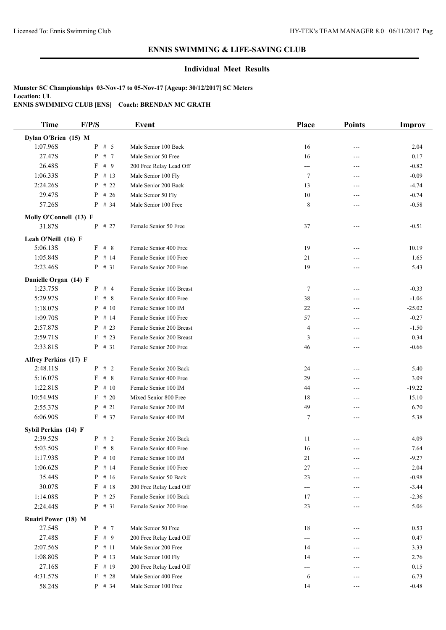### **Individual Meet Results**

| <b>Time</b>                | F/P/S             | <b>Event</b>             | Place                    | <b>Points</b>              | <b>Improv</b> |
|----------------------------|-------------------|--------------------------|--------------------------|----------------------------|---------------|
| Dylan O'Brien (15) M       |                   |                          |                          |                            |               |
| 1:07.96S                   | $P$ # 5           | Male Senior 100 Back     | 16                       | $---$                      | 2.04          |
| 27.47S                     | P<br># 7          | Male Senior 50 Free      | 16                       | $---$                      | 0.17          |
| 26.48S                     | F # 9             | 200 Free Relay Lead Off  | $\hspace{0.05cm} \ldots$ | ---                        | $-0.82$       |
| 1:06.33S                   | $P$ # 13          | Male Senior 100 Fly      | 7                        | $---$                      | $-0.09$       |
| 2:24.26S                   | P<br># 22         | Male Senior 200 Back     | 13                       | ---                        | $-4.74$       |
| 29.47S                     | $P$ # 26          | Male Senior 50 Fly       | 10                       | ---                        | $-0.74$       |
| 57.26S                     | $P$ # 34          | Male Senior 100 Free     | 8                        | $---$                      | $-0.58$       |
| Molly O'Connell (13) F     |                   |                          |                          |                            |               |
| 31.87S                     | $P$ # 27          | Female Senior 50 Free    | 37                       | $---$                      | $-0.51$       |
| Leah O'Neill (16) F        |                   |                          |                          |                            |               |
| 5:06.13S                   | $F$ # 8           | Female Senior 400 Free   | 19                       | ---                        | 10.19         |
| 1:05.84S                   | $P$ # 14          | Female Senior 100 Free   | 21                       | ---                        | 1.65          |
| 2:23.46S                   | $P$ # 31          | Female Senior 200 Free   | 19                       | ---                        | 5.43          |
|                            |                   |                          |                          |                            |               |
| Danielle Organ (14) F      |                   |                          |                          |                            |               |
| 1:23.75S                   | $P$ # 4           | Female Senior 100 Breast | 7                        | ---                        | $-0.33$       |
| 5:29.97S                   | $F$ # 8           | Female Senior 400 Free   | 38                       | ---                        | $-1.06$       |
| 1:18.07S                   | $P$ # 10          | Female Senior 100 IM     | 22                       | $---$                      | $-25.02$      |
| 1:09.70S                   | $P$ # 14          | Female Senior 100 Free   | 57                       | ---                        | $-0.27$       |
| 2:57.87S                   | $P$ # 23          | Female Senior 200 Breast | $\overline{4}$           | ---                        | $-1.50$       |
| 2:59.71S                   | # 23<br>F         | Female Senior 200 Breast | 3                        | ---                        | 0.34          |
| 2:33.81S                   | $P$ # 31          | Female Senior 200 Free   | 46                       | ---                        | $-0.66$       |
| Alfrey Perkins (17) F      |                   |                          |                          |                            |               |
| 2:48.11S                   | $P$ # 2           | Female Senior 200 Back   | 24                       | ---                        | 5.40          |
| 5:16.07S                   | F # 8             | Female Senior 400 Free   | 29                       | ---                        | 3.09          |
| 1:22.81S                   | $P$ # 10          | Female Senior 100 IM     | 44                       | $---$                      | $-19.22$      |
| 10:54.94S                  | $F$ # 20          | Mixed Senior 800 Free    | 18                       | ---                        | 15.10         |
| 2:55.37S                   | $P$ # 21          | Female Senior 200 IM     | 49                       | $---$                      | 6.70          |
| 6:06.90S                   | $F$ # 37          | Female Senior 400 IM     | $\tau$                   | ---                        | 5.38          |
| Sybil Perkins (14) F       |                   |                          |                          |                            |               |
| 2:39.52S                   | $P$ # 2           | Female Senior 200 Back   | 11                       |                            | 4.09          |
| 5:03.50S                   | F # 8             | Female Senior 400 Free   | 16                       | ---                        | 7.64          |
| 1:17.93S                   | $\mathbf{P}$ # 10 | Female Senior 100 IM     | 21                       | ---                        | $-9.27$       |
| 1:06.62S                   | $P$ # 14          | Female Senior 100 Free   | 27                       |                            | 2.04          |
| 35.44S                     | $P$ # 16          | Female Senior 50 Back    | 23                       | ---                        | $-0.98$       |
| 30.07S                     | $F$ # 18          | 200 Free Relay Lead Off  | $\hspace{0.05cm} \ldots$ | ---                        | $-3.44$       |
| 1:14.08S                   | $P$ # 25          | Female Senior 100 Back   | 17                       | ---                        | $-2.36$       |
| 2:24.44S                   | $P$ # 31          | Female Senior 200 Free   | 23                       | $\qquad \qquad \text{---}$ | 5.06          |
| <b>Ruairi Power (18) M</b> |                   |                          |                          |                            |               |
| 27.54S                     | $P$ # 7           | Male Senior 50 Free      | 18                       | $---$                      | 0.53          |
| 27.48S                     | F # 9             | 200 Free Relay Lead Off  |                          | ---                        | 0.47          |
| 2:07.56S                   | $P$ # 11          | Male Senior 200 Free     | 14                       | ---                        | 3.33          |
| 1:08.80S                   | $P$ # 13          | Male Senior 100 Fly      | 14                       | ---                        | 2.76          |
| 27.16S                     | $F$ # 19          | 200 Free Relay Lead Off  | ---                      | ---                        | 0.15          |
| 4:31.57S                   | $F$ # 28          | Male Senior 400 Free     | 6                        | ---                        | 6.73          |
| 58.24S                     | $P$ # 34          | Male Senior 100 Free     | 14                       | ---                        | $-0.48$       |
|                            |                   |                          |                          |                            |               |